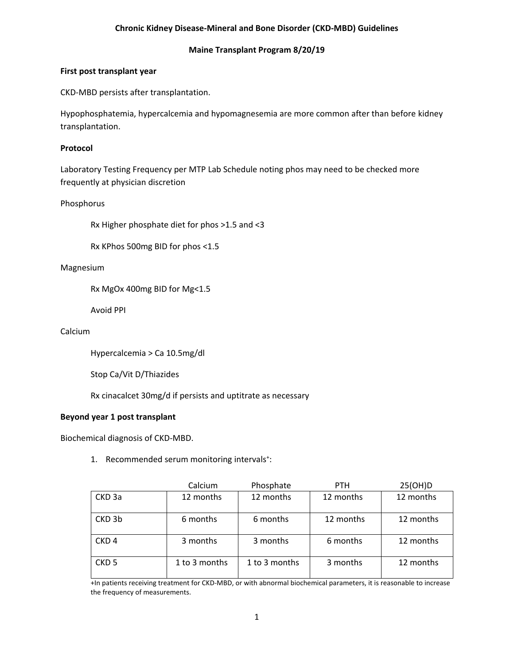# **Chronic Kidney Disease-Mineral and Bone Disorder (CKD-MBD) Guidelines**

# **Maine Transplant Program 8/20/19**

## **First post transplant year**

CKD-MBD persists after transplantation.

Hypophosphatemia, hypercalcemia and hypomagnesemia are more common after than before kidney transplantation.

# **Protocol**

Laboratory Testing Frequency per MTP Lab Schedule noting phos may need to be checked more frequently at physician discretion

Phosphorus

Rx Higher phosphate diet for phos >1.5 and <3

Rx KPhos 500mg BID for phos <1.5

## Magnesium

Rx MgOx 400mg BID for Mg<1.5

Avoid PPI

# Calcium

Hypercalcemia > Ca 10.5mg/dl

Stop Ca/Vit D/Thiazides

Rx cinacalcet 30mg/d if persists and uptitrate as necessary

# **Beyond year 1 post transplant**

Biochemical diagnosis of CKD-MBD.

1. Recommended serum monitoring intervals<sup>+</sup>:

|                   | Calcium       | Phosphate     | <b>PTH</b> | 25(OH)D   |
|-------------------|---------------|---------------|------------|-----------|
| CKD <sub>3a</sub> | 12 months     | 12 months     | 12 months  | 12 months |
| CKD 3b            | 6 months      | 6 months      | 12 months  | 12 months |
| CKD <sub>4</sub>  | 3 months      | 3 months      | 6 months   | 12 months |
| CKD <sub>5</sub>  | 1 to 3 months | 1 to 3 months | 3 months   | 12 months |

+In patients receiving treatment for CKD-MBD, or with abnormal biochemical parameters, it is reasonable to increase the frequency of measurements.